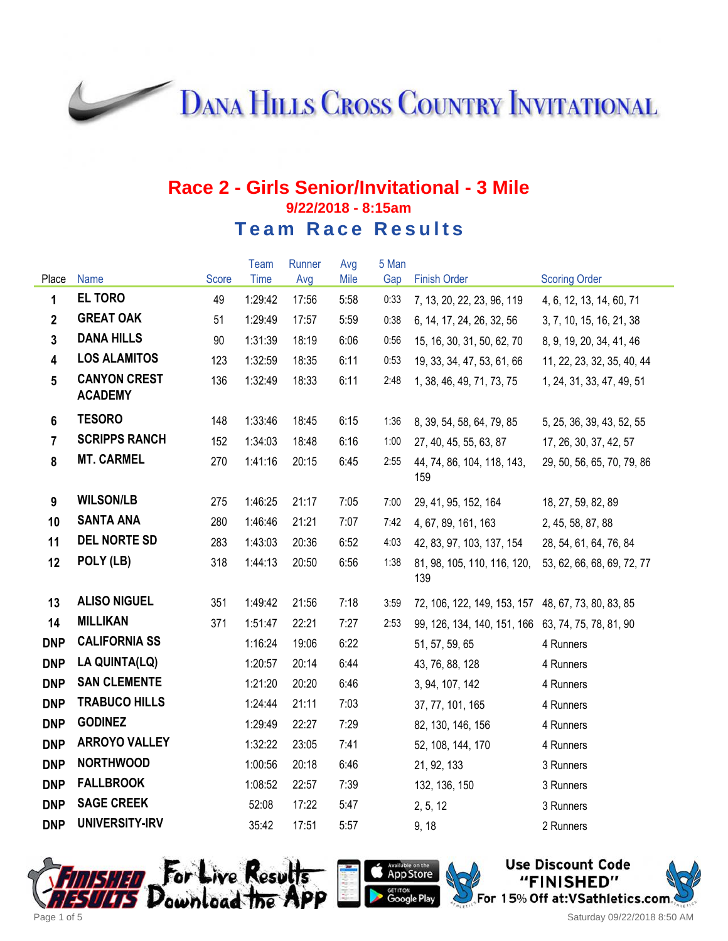**DANA HILLS CROSS COUNTRY INVITATIONAL** 

#### **Race 2 - Girls Senior/Invitational - 3 Mile 9/22/2018 - 8:15am Team Race Results**

|                         |                                       |       | Team    | Runner | Avg  | 5 Man |                                                    |                            |
|-------------------------|---------------------------------------|-------|---------|--------|------|-------|----------------------------------------------------|----------------------------|
| Place                   | Name                                  | Score | Time    | Avg    | Mile | Gap   | <b>Finish Order</b>                                | <b>Scoring Order</b>       |
| $\mathbf{1}$            | <b>EL TORO</b>                        | 49    | 1:29:42 | 17:56  | 5:58 | 0:33  | 7, 13, 20, 22, 23, 96, 119                         | 4, 6, 12, 13, 14, 60, 71   |
| $\mathbf{2}$            | <b>GREAT OAK</b>                      | 51    | 1:29:49 | 17:57  | 5:59 | 0:38  | 6, 14, 17, 24, 26, 32, 56                          | 3, 7, 10, 15, 16, 21, 38   |
| $\mathbf{3}$            | <b>DANA HILLS</b>                     | 90    | 1:31:39 | 18:19  | 6:06 | 0:56  | 15, 16, 30, 31, 50, 62, 70                         | 8, 9, 19, 20, 34, 41, 46   |
| $\overline{\mathbf{4}}$ | <b>LOS ALAMITOS</b>                   | 123   | 1:32:59 | 18:35  | 6:11 | 0:53  | 19, 33, 34, 47, 53, 61, 66                         | 11, 22, 23, 32, 35, 40, 44 |
| $5\phantom{.0}$         | <b>CANYON CREST</b><br><b>ACADEMY</b> | 136   | 1:32:49 | 18:33  | 6:11 | 2:48  | 1, 38, 46, 49, 71, 73, 75                          | 1, 24, 31, 33, 47, 49, 51  |
| 6                       | <b>TESORO</b>                         | 148   | 1:33:46 | 18:45  | 6:15 | 1:36  | 8, 39, 54, 58, 64, 79, 85                          | 5, 25, 36, 39, 43, 52, 55  |
| $\overline{7}$          | <b>SCRIPPS RANCH</b>                  | 152   | 1:34:03 | 18:48  | 6:16 | 1:00  | 27, 40, 45, 55, 63, 87                             | 17, 26, 30, 37, 42, 57     |
| 8                       | <b>MT. CARMEL</b>                     | 270   | 1:41:16 | 20:15  | 6:45 | 2:55  | 44, 74, 86, 104, 118, 143,<br>159                  | 29, 50, 56, 65, 70, 79, 86 |
| 9                       | <b>WILSON/LB</b>                      | 275   | 1:46:25 | 21:17  | 7:05 | 7:00  | 29, 41, 95, 152, 164                               | 18, 27, 59, 82, 89         |
| 10                      | <b>SANTA ANA</b>                      | 280   | 1:46:46 | 21:21  | 7:07 | 7:42  | 4, 67, 89, 161, 163                                | 2, 45, 58, 87, 88          |
| 11                      | <b>DEL NORTE SD</b>                   | 283   | 1:43:03 | 20:36  | 6:52 | 4:03  | 42, 83, 97, 103, 137, 154                          | 28, 54, 61, 64, 76, 84     |
| 12                      | POLY (LB)                             | 318   | 1:44:13 | 20:50  | 6:56 | 1:38  | 81, 98, 105, 110, 116, 120,<br>139                 | 53, 62, 66, 68, 69, 72, 77 |
| 13                      | <b>ALISO NIGUEL</b>                   | 351   | 1:49:42 | 21:56  | 7:18 | 3:59  | 72, 106, 122, 149, 153, 157 48, 67, 73, 80, 83, 85 |                            |
| 14                      | <b>MILLIKAN</b>                       | 371   | 1:51:47 | 22:21  | 7:27 | 2:53  | 99, 126, 134, 140, 151, 166 63, 74, 75, 78, 81, 90 |                            |
| <b>DNP</b>              | <b>CALIFORNIA SS</b>                  |       | 1:16:24 | 19:06  | 6:22 |       | 51, 57, 59, 65                                     | 4 Runners                  |
| <b>DNP</b>              | LA QUINTA(LQ)                         |       | 1:20:57 | 20:14  | 6:44 |       | 43, 76, 88, 128                                    | 4 Runners                  |
| <b>DNP</b>              | <b>SAN CLEMENTE</b>                   |       | 1:21:20 | 20:20  | 6:46 |       | 3, 94, 107, 142                                    | 4 Runners                  |
| <b>DNP</b>              | <b>TRABUCO HILLS</b>                  |       | 1:24:44 | 21:11  | 7:03 |       | 37, 77, 101, 165                                   | 4 Runners                  |
| <b>DNP</b>              | <b>GODINEZ</b>                        |       | 1:29:49 | 22:27  | 7:29 |       | 82, 130, 146, 156                                  | 4 Runners                  |
| <b>DNP</b>              | <b>ARROYO VALLEY</b>                  |       | 1:32:22 | 23:05  | 7:41 |       | 52, 108, 144, 170                                  | 4 Runners                  |
| <b>DNP</b>              | <b>NORTHWOOD</b>                      |       | 1:00:56 | 20:18  | 6:46 |       | 21, 92, 133                                        | 3 Runners                  |
| <b>DNP</b>              | <b>FALLBROOK</b>                      |       | 1:08:52 | 22:57  | 7:39 |       | 132, 136, 150                                      | 3 Runners                  |
| <b>DNP</b>              | <b>SAGE CREEK</b>                     |       | 52:08   | 17:22  | 5:47 |       | 2, 5, 12                                           | 3 Runners                  |
| <b>DNP</b>              | UNIVERSITY-IRV                        |       | 35:42   | 17:51  | 5:57 |       | 9, 18                                              | 2 Runners                  |





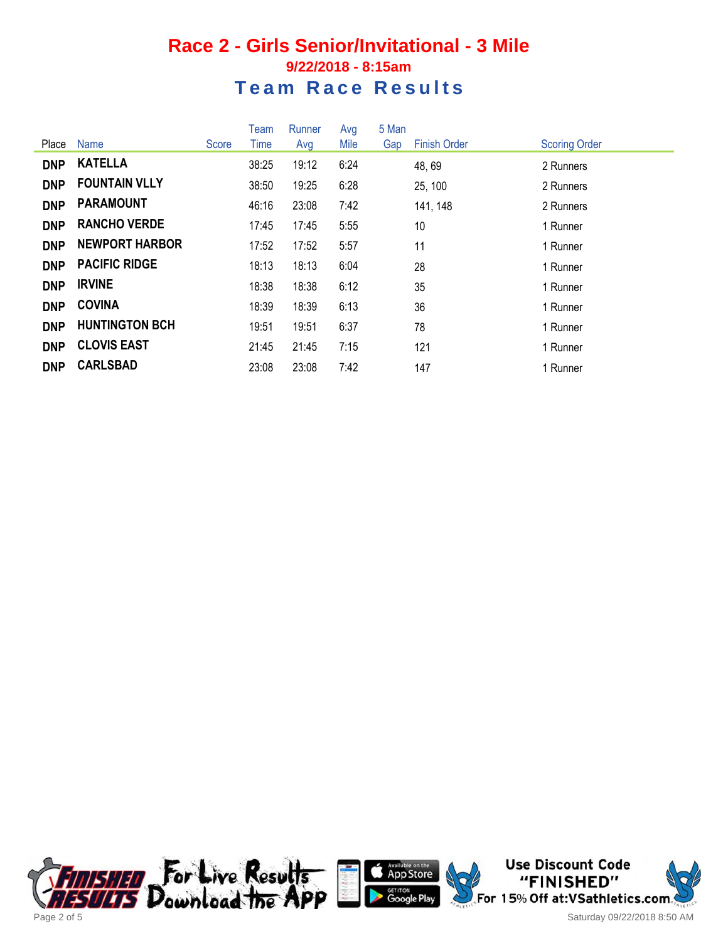### **Race 2 - Girls Senior/Invitational - 3 Mile 9/22/2018 - 8:15am Team Race Results**

|            |                       |       | <b>Team</b> | Runner | Avg  | 5 Man |                     |                      |
|------------|-----------------------|-------|-------------|--------|------|-------|---------------------|----------------------|
| Place      | <b>Name</b>           | Score | Time        | Avg    | Mile | Gap   | <b>Finish Order</b> | <b>Scoring Order</b> |
| <b>DNP</b> | <b>KATELLA</b>        |       | 38:25       | 19:12  | 6:24 |       | 48, 69              | 2 Runners            |
| <b>DNP</b> | <b>FOUNTAIN VLLY</b>  |       | 38:50       | 19:25  | 6:28 |       | 25, 100             | 2 Runners            |
| <b>DNP</b> | <b>PARAMOUNT</b>      |       | 46:16       | 23:08  | 7:42 |       | 141, 148            | 2 Runners            |
| <b>DNP</b> | <b>RANCHO VERDE</b>   |       | 17:45       | 17:45  | 5:55 |       | 10                  | 1 Runner             |
| <b>DNP</b> | <b>NEWPORT HARBOR</b> |       | 17:52       | 17:52  | 5:57 |       | 11                  | 1 Runner             |
| <b>DNP</b> | <b>PACIFIC RIDGE</b>  |       | 18:13       | 18:13  | 6:04 |       | 28                  | 1 Runner             |
| <b>DNP</b> | <b>IRVINE</b>         |       | 18:38       | 18:38  | 6:12 |       | 35                  | 1 Runner             |
| <b>DNP</b> | <b>COVINA</b>         |       | 18:39       | 18:39  | 6:13 |       | 36                  | 1 Runner             |
| <b>DNP</b> | <b>HUNTINGTON BCH</b> |       | 19:51       | 19:51  | 6:37 |       | 78                  | 1 Runner             |
| <b>DNP</b> | <b>CLOVIS EAST</b>    |       | 21:45       | 21:45  | 7:15 |       | 121                 | 1 Runner             |
| <b>DNP</b> | <b>CARLSBAD</b>       |       | 23:08       | 23:08  | 7:42 |       | 147                 | 1 Runner             |







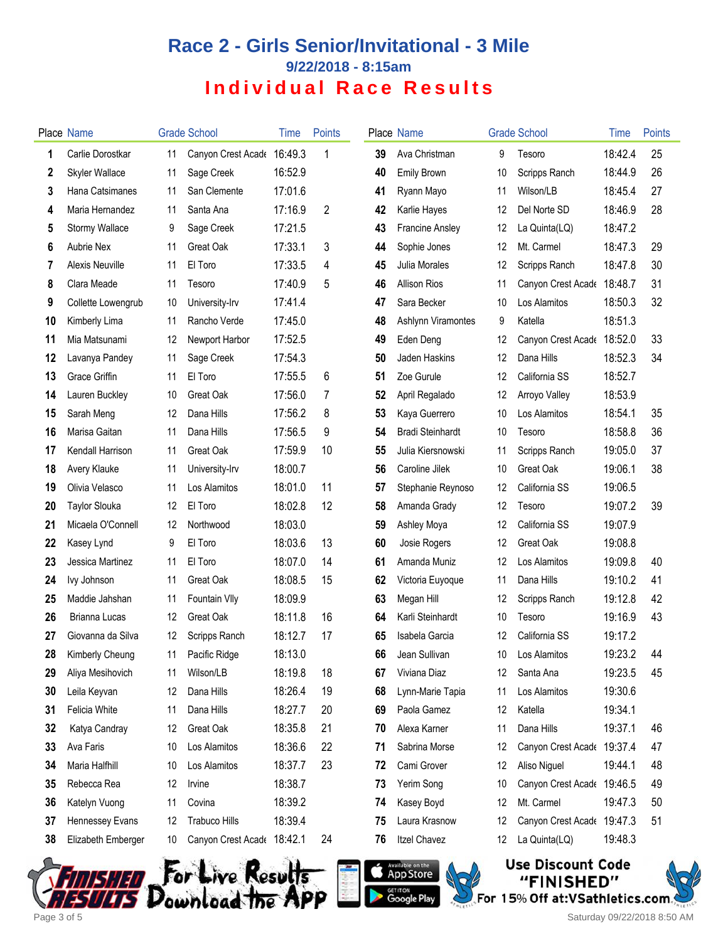# **Race 2 - Girls Senior/Invitational - 3 Mile 9/22/2018 - 8:15am Individual Race Results**

|    | <b>Place Name</b>     |    | <b>Grade School</b>        | Time    | Points |    | Place Name              |    | <b>Grade School</b>        | Time    | <b>Points</b> |
|----|-----------------------|----|----------------------------|---------|--------|----|-------------------------|----|----------------------------|---------|---------------|
| 1  | Carlie Dorostkar      | 11 | Canyon Crest Acade         | 16:49.3 | 1      | 39 | Ava Christman           | 9  | Tesoro                     | 18:42.4 | 25            |
| 2  | <b>Skyler Wallace</b> | 11 | Sage Creek                 | 16:52.9 |        | 40 | <b>Emily Brown</b>      | 10 | Scripps Ranch              | 18:44.9 | 26            |
| 3  | Hana Catsimanes       | 11 | San Clemente               | 17:01.6 |        | 41 | Ryann Mayo              | 11 | Wilson/LB                  | 18:45.4 | 27            |
| 4  | Maria Hernandez       | 11 | Santa Ana                  | 17:16.9 | 2      | 42 | Karlie Hayes            | 12 | Del Norte SD               | 18:46.9 | 28            |
| 5  | <b>Stormy Wallace</b> | 9  | Sage Creek                 | 17:21.5 |        | 43 | <b>Francine Ansley</b>  | 12 | La Quinta(LQ)              | 18:47.2 |               |
| 6  | <b>Aubrie Nex</b>     | 11 | Great Oak                  | 17:33.1 | 3      | 44 | Sophie Jones            | 12 | Mt. Carmel                 | 18:47.3 | 29            |
| 7  | Alexis Neuville       | 11 | El Toro                    | 17:33.5 | 4      | 45 | Julia Morales           | 12 | Scripps Ranch              | 18:47.8 | 30            |
| 8  | Clara Meade           | 11 | Tesoro                     | 17:40.9 | 5      | 46 | <b>Allison Rios</b>     | 11 | Canyon Crest Acade         | 18:48.7 | 31            |
| 9  | Collette Lowengrub    | 10 | University-Irv             | 17:41.4 |        | 47 | Sara Becker             | 10 | Los Alamitos               | 18:50.3 | 32            |
| 10 | Kimberly Lima         | 11 | Rancho Verde               | 17:45.0 |        | 48 | Ashlynn Viramontes      | 9  | Katella                    | 18:51.3 |               |
| 11 | Mia Matsunami         | 12 | Newport Harbor             | 17:52.5 |        | 49 | Eden Deng               | 12 | Canyon Crest Acade         | 18:52.0 | 33            |
| 12 | Lavanya Pandey        | 11 | Sage Creek                 | 17:54.3 |        | 50 | Jaden Haskins           | 12 | Dana Hills                 | 18:52.3 | 34            |
| 13 | Grace Griffin         | 11 | El Toro                    | 17:55.5 | 6      | 51 | Zoe Gurule              | 12 | California SS              | 18:52.7 |               |
| 14 | Lauren Buckley        | 10 | Great Oak                  | 17:56.0 | 7      | 52 | April Regalado          | 12 | Arroyo Valley              | 18:53.9 |               |
| 15 | Sarah Meng            | 12 | Dana Hills                 | 17:56.2 | 8      | 53 | Kaya Guerrero           | 10 | Los Alamitos               | 18:54.1 | 35            |
| 16 | Marisa Gaitan         | 11 | Dana Hills                 | 17:56.5 | 9      | 54 | <b>Bradi Steinhardt</b> | 10 | Tesoro                     | 18:58.8 | 36            |
| 17 | Kendall Harrison      | 11 | Great Oak                  | 17:59.9 | 10     | 55 | Julia Kiersnowski       | 11 | Scripps Ranch              | 19:05.0 | 37            |
| 18 | Avery Klauke          | 11 | University-Irv             | 18:00.7 |        | 56 | Caroline Jilek          | 10 | Great Oak                  | 19:06.1 | 38            |
| 19 | Olivia Velasco        | 11 | Los Alamitos               | 18:01.0 | 11     | 57 | Stephanie Reynoso       | 12 | California SS              | 19:06.5 |               |
| 20 | <b>Taylor Slouka</b>  | 12 | El Toro                    | 18:02.8 | 12     | 58 | Amanda Grady            | 12 | Tesoro                     | 19:07.2 | 39            |
| 21 | Micaela O'Connell     | 12 | Northwood                  | 18:03.0 |        | 59 | Ashley Moya             | 12 | California SS              | 19:07.9 |               |
| 22 | Kasey Lynd            | 9  | El Toro                    | 18:03.6 | 13     | 60 | Josie Rogers            | 12 | Great Oak                  | 19:08.8 |               |
| 23 | Jessica Martinez      | 11 | El Toro                    | 18:07.0 | 14     | 61 | Amanda Muniz            | 12 | Los Alamitos               | 19:09.8 | 40            |
| 24 | lvy Johnson           | 11 | Great Oak                  | 18:08.5 | 15     | 62 | Victoria Euyoque        | 11 | Dana Hills                 | 19:10.2 | 41            |
| 25 | Maddie Jahshan        | 11 | Fountain VIIy              | 18:09.9 |        | 63 | Megan Hill              | 12 | Scripps Ranch              | 19:12.8 | 42            |
| 26 | Brianna Lucas         | 12 | Great Oak                  | 18:11.8 | 16     | 64 | Karli Steinhardt        | 10 | Tesoro                     | 19:16.9 | 43            |
| 27 | Giovanna da Silva     | 12 | Scripps Ranch              | 18:12.7 | 17     | 65 | Isabela Garcia          | 12 | California SS              | 19:17.2 |               |
| 28 | Kimberly Cheung       | 11 | Pacific Ridge              | 18:13.0 |        | 66 | Jean Sullivan           |    | 10 Los Alamitos            | 19:23.2 | 44            |
| 29 | Aliya Mesihovich      | 11 | Wilson/LB                  | 18:19.8 | 18     | 67 | Viviana Diaz            | 12 | Santa Ana                  | 19:23.5 | 45            |
| 30 | Leila Keyvan          | 12 | Dana Hills                 | 18:26.4 | 19     | 68 | Lynn-Marie Tapia        | 11 | Los Alamitos               | 19:30.6 |               |
| 31 | Felicia White         | 11 | Dana Hills                 | 18:27.7 | 20     | 69 | Paola Gamez             | 12 | Katella                    | 19:34.1 |               |
| 32 | Katya Candray         | 12 | Great Oak                  | 18:35.8 | 21     | 70 | Alexa Karner            | 11 | Dana Hills                 | 19:37.1 | 46            |
| 33 | Ava Faris             | 10 | Los Alamitos               | 18:36.6 | 22     | 71 | Sabrina Morse           | 12 | Canyon Crest Acade         | 19:37.4 | 47            |
| 34 | Maria Halfhill        | 10 | Los Alamitos               | 18:37.7 | 23     | 72 | Cami Grover             | 12 | Aliso Niguel               | 19:44.1 | 48            |
| 35 | Rebecca Rea           | 12 | Irvine                     | 18:38.7 |        | 73 | Yerim Song              | 10 | Canyon Crest Acade 19:46.5 |         | 49            |
| 36 | Katelyn Vuong         | 11 | Covina                     | 18:39.2 |        | 74 | Kasey Boyd              | 12 | Mt. Carmel                 | 19:47.3 | 50            |
| 37 | Hennessey Evans       | 12 | <b>Trabuco Hills</b>       | 18:39.4 |        | 75 | Laura Krasnow           | 12 | Canyon Crest Acade 19:47.3 |         | 51            |
| 38 | Elizabeth Emberger    | 10 | Canyon Crest Acade 18:42.1 |         | 24     | 76 | <b>Itzel Chavez</b>     | 12 | La Quinta(LQ)              | 19:48.3 |               |
|    |                       |    |                            |         |        |    |                         |    |                            |         |               |







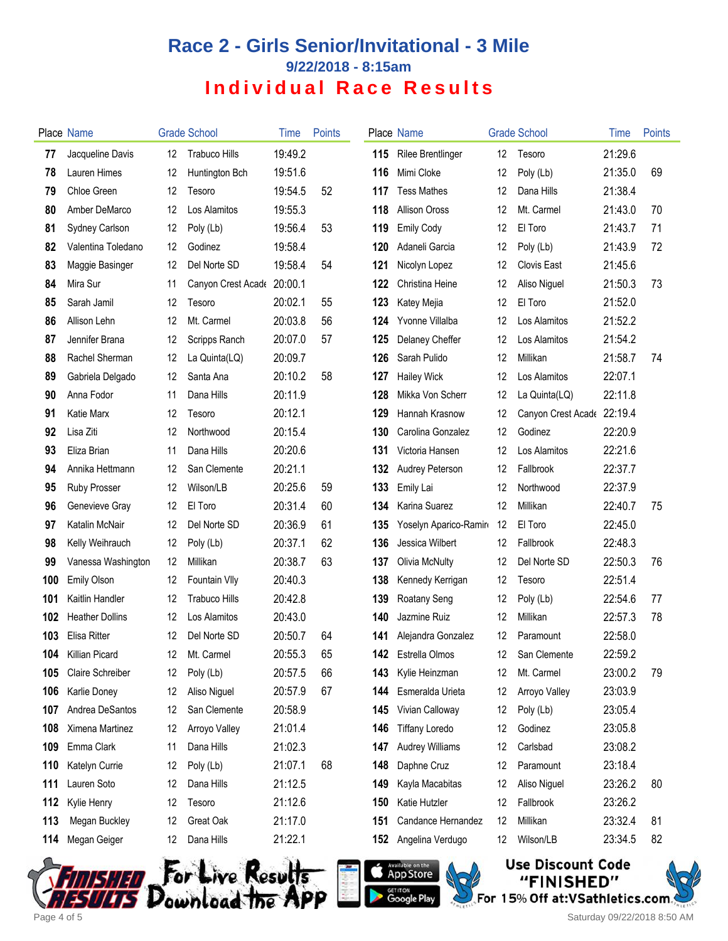# **Race 2 - Girls Senior/Invitational - 3 Mile 9/22/2018 - 8:15am Individual Race Results**

|     | Place Name             |    | <b>Grade School</b>  | Time    | <b>Points</b> |     | <b>Place Name</b>        |    | <b>Grade School</b>        | Time    | Points |
|-----|------------------------|----|----------------------|---------|---------------|-----|--------------------------|----|----------------------------|---------|--------|
| 77  | Jacqueline Davis       | 12 | <b>Trabuco Hills</b> | 19:49.2 |               | 115 | <b>Rilee Brentlinger</b> | 12 | Tesoro                     | 21:29.6 |        |
| 78  | Lauren Himes           | 12 | Huntington Bch       | 19:51.6 |               | 116 | Mimi Cloke               | 12 | Poly (Lb)                  | 21:35.0 | 69     |
| 79  | Chloe Green            | 12 | Tesoro               | 19:54.5 | 52            | 117 | <b>Tess Mathes</b>       | 12 | Dana Hills                 | 21:38.4 |        |
| 80  | Amber DeMarco          | 12 | Los Alamitos         | 19:55.3 |               | 118 | <b>Allison Oross</b>     | 12 | Mt. Carmel                 | 21:43.0 | 70     |
| 81  | Sydney Carlson         | 12 | Poly (Lb)            | 19:56.4 | 53            | 119 | <b>Emily Cody</b>        | 12 | El Toro                    | 21:43.7 | 71     |
| 82  | Valentina Toledano     | 12 | Godinez              | 19:58.4 |               | 120 | Adaneli Garcia           | 12 | Poly (Lb)                  | 21:43.9 | 72     |
| 83  | Maggie Basinger        | 12 | Del Norte SD         | 19:58.4 | 54            | 121 | Nicolyn Lopez            | 12 | Clovis East                | 21:45.6 |        |
| 84  | Mira Sur               | 11 | Canyon Crest Acade   | 20:00.1 |               | 122 | Christina Heine          | 12 | Aliso Niguel               | 21:50.3 | 73     |
| 85  | Sarah Jamil            | 12 | Tesoro               | 20:02.1 | 55            | 123 | Katey Mejia              | 12 | El Toro                    | 21:52.0 |        |
| 86  | Allison Lehn           | 12 | Mt. Carmel           | 20:03.8 | 56            | 124 | Yvonne Villalba          | 12 | Los Alamitos               | 21:52.2 |        |
| 87  | Jennifer Brana         | 12 | Scripps Ranch        | 20:07.0 | 57            | 125 | Delaney Cheffer          | 12 | Los Alamitos               | 21:54.2 |        |
| 88  | Rachel Sherman         | 12 | La Quinta(LQ)        | 20:09.7 |               | 126 | Sarah Pulido             | 12 | Millikan                   | 21:58.7 | 74     |
| 89  | Gabriela Delgado       | 12 | Santa Ana            | 20:10.2 | 58            | 127 | <b>Hailey Wick</b>       | 12 | Los Alamitos               | 22:07.1 |        |
| 90  | Anna Fodor             | 11 | Dana Hills           | 20:11.9 |               | 128 | Mikka Von Scherr         | 12 | La Quinta(LQ)              | 22:11.8 |        |
| 91  | Katie Marx             | 12 | Tesoro               | 20:12.1 |               | 129 | Hannah Krasnow           | 12 | Canyon Crest Acade 22:19.4 |         |        |
| 92  | Lisa Ziti              | 12 | Northwood            | 20:15.4 |               | 130 | Carolina Gonzalez        | 12 | Godinez                    | 22:20.9 |        |
| 93  | Eliza Brian            | 11 | Dana Hills           | 20:20.6 |               | 131 | Victoria Hansen          | 12 | Los Alamitos               | 22:21.6 |        |
| 94  | Annika Hettmann        | 12 | San Clemente         | 20:21.1 |               | 132 | Audrey Peterson          | 12 | Fallbrook                  | 22:37.7 |        |
| 95  | Ruby Prosser           | 12 | Wilson/LB            | 20:25.6 | 59            | 133 | Emily Lai                | 12 | Northwood                  | 22:37.9 |        |
| 96  | Genevieve Gray         | 12 | El Toro              | 20:31.4 | 60            | 134 | Karina Suarez            | 12 | Millikan                   | 22:40.7 | 75     |
| 97  | Katalin McNair         | 12 | Del Norte SD         | 20:36.9 | 61            | 135 | Yoselyn Aparico-Ramin    | 12 | El Toro                    | 22:45.0 |        |
| 98  | Kelly Weihrauch        | 12 | Poly (Lb)            | 20:37.1 | 62            | 136 | Jessica Wilbert          | 12 | Fallbrook                  | 22:48.3 |        |
| 99  | Vanessa Washington     | 12 | Millikan             | 20:38.7 | 63            | 137 | <b>Olivia McNulty</b>    | 12 | Del Norte SD               | 22:50.3 | 76     |
| 100 | Emily Olson            | 12 | Fountain VIIy        | 20:40.3 |               | 138 | Kennedy Kerrigan         | 12 | Tesoro                     | 22:51.4 |        |
| 101 | Kaitlin Handler        | 12 | <b>Trabuco Hills</b> | 20:42.8 |               | 139 | Roatany Seng             | 12 | Poly (Lb)                  | 22:54.6 | 77     |
| 102 | <b>Heather Dollins</b> | 12 | Los Alamitos         | 20:43.0 |               | 140 | Jazmine Ruiz             | 12 | Millikan                   | 22:57.3 | 78     |
| 103 | Elisa Ritter           | 12 | Del Norte SD         | 20:50.7 | 64            | 141 | Alejandra Gonzalez       | 12 | Paramount                  | 22:58.0 |        |
| 104 | Killian Picard         | 12 | Mt. Carmel           | 20:55.3 | 65            |     | 142 Estrella Olmos       | 12 | San Clemente               | 22:59.2 |        |
| 105 | Claire Schreiber       | 12 | Poly (Lb)            | 20:57.5 | 66            | 143 | Kylie Heinzman           | 12 | Mt. Carmel                 | 23:00.2 | 79     |
| 106 | Karlie Doney           | 12 | Aliso Niguel         | 20:57.9 | 67            | 144 | Esmeralda Urieta         | 12 | Arroyo Valley              | 23:03.9 |        |
| 107 | Andrea DeSantos        | 12 | San Clemente         | 20:58.9 |               | 145 | Vivian Calloway          | 12 | Poly (Lb)                  | 23:05.4 |        |
| 108 | Ximena Martinez        | 12 | Arroyo Valley        | 21:01.4 |               | 146 | <b>Tiffany Loredo</b>    | 12 | Godinez                    | 23:05.8 |        |
| 109 | Emma Clark             | 11 | Dana Hills           | 21:02.3 |               | 147 | <b>Audrey Williams</b>   | 12 | Carlsbad                   | 23:08.2 |        |
| 110 | Katelyn Currie         | 12 | Poly (Lb)            | 21:07.1 | 68            | 148 | Daphne Cruz              | 12 | Paramount                  | 23:18.4 |        |
| 111 | Lauren Soto            | 12 | Dana Hills           | 21:12.5 |               | 149 | Kayla Macabitas          | 12 | Aliso Niguel               | 23:26.2 | 80     |
| 112 | Kylie Henry            | 12 | Tesoro               | 21:12.6 |               | 150 | Katie Hutzler            | 12 | Fallbrook                  | 23:26.2 |        |
| 113 | Megan Buckley          | 12 | Great Oak            | 21:17.0 |               | 151 | Candance Hernandez       | 12 | Millikan                   | 23:32.4 | 81     |
| 114 | Megan Geiger           | 12 | Dana Hills           | 21:22.1 |               | 152 | Angelina Verdugo         | 12 | Wilson/LB                  | 23:34.5 | 82     |